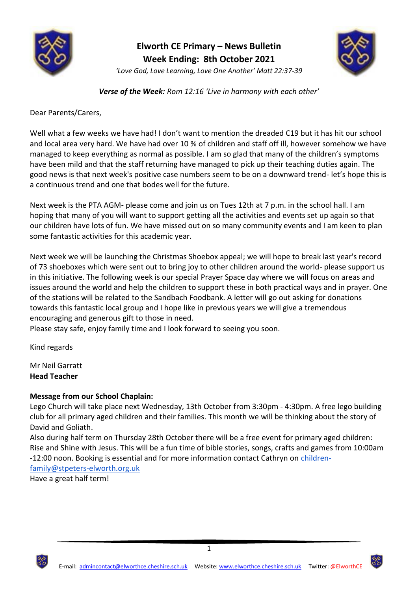

**Elworth CE Primary – News Bulletin Week Ending: 8th October 2021** *'Love God, Love Learning, Love One Another' Matt 22:37-39*



*Verse of the Week: Rom 12:16 'Live in harmony with each other'*

Dear Parents/Carers,

Well what a few weeks we have had! I don't want to mention the dreaded C19 but it has hit our school and local area very hard. We have had over 10 % of children and staff off ill, however somehow we have managed to keep everything as normal as possible. I am so glad that many of the children's symptoms have been mild and that the staff returning have managed to pick up their teaching duties again. The good news is that next week's positive case numbers seem to be on a downward trend- let's hope this is a continuous trend and one that bodes well for the future.

Next week is the PTA AGM- please come and join us on Tues 12th at 7 p.m. in the school hall. I am hoping that many of you will want to support getting all the activities and events set up again so that our children have lots of fun. We have missed out on so many community events and I am keen to plan some fantastic activities for this academic year.

Next week we will be launching the Christmas Shoebox appeal; we will hope to break last year's record of 73 shoeboxes which were sent out to bring joy to other children around the world- please support us in this initiative. The following week is our special Prayer Space day where we will focus on areas and issues around the world and help the children to support these in both practical ways and in prayer. One of the stations will be related to the Sandbach Foodbank. A letter will go out asking for donations towards this fantastic local group and I hope like in previous years we will give a tremendous encouraging and generous gift to those in need.

Please stay safe, enjoy family time and I look forward to seeing you soon.

Kind regards

Mr Neil Garratt **Head Teacher**

# **Message from our School Chaplain:**

Lego Church will take place next Wednesday, 13th October from 3:30pm - 4:30pm. A free lego building club for all primary aged children and their families. This month we will be thinking about the story of David and Goliath.

Also during half term on Thursday 28th October there will be a free event for primary aged children: Rise and Shine with Jesus. This will be a fun time of bible stories, songs, crafts and games from 10:00am -12:00 noon. Booking is essential and for more information contact Cathryn on [children](mailto:children-family@stpeters-elworth.org.uk)[family@stpeters-elworth.org.uk](mailto:children-family@stpeters-elworth.org.uk)

Have a great half term!



1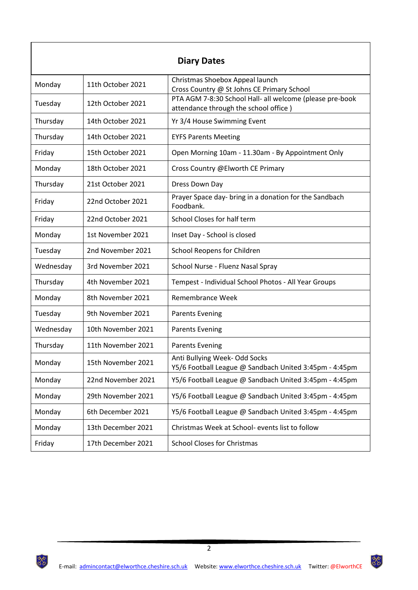| <b>Diary Dates</b> |                    |                                                                                                   |  |  |  |  |  |  |
|--------------------|--------------------|---------------------------------------------------------------------------------------------------|--|--|--|--|--|--|
| Monday             | 11th October 2021  | Christmas Shoebox Appeal launch<br>Cross Country @ St Johns CE Primary School                     |  |  |  |  |  |  |
| Tuesday            | 12th October 2021  | PTA AGM 7-8:30 School Hall- all welcome (please pre-book<br>attendance through the school office) |  |  |  |  |  |  |
| Thursday           | 14th October 2021  | Yr 3/4 House Swimming Event                                                                       |  |  |  |  |  |  |
| Thursday           | 14th October 2021  | <b>EYFS Parents Meeting</b>                                                                       |  |  |  |  |  |  |
| Friday             | 15th October 2021  | Open Morning 10am - 11.30am - By Appointment Only                                                 |  |  |  |  |  |  |
| Monday             | 18th October 2021  | Cross Country @Elworth CE Primary                                                                 |  |  |  |  |  |  |
| Thursday           | 21st October 2021  | Dress Down Day                                                                                    |  |  |  |  |  |  |
| Friday             | 22nd October 2021  | Prayer Space day- bring in a donation for the Sandbach<br>Foodbank.                               |  |  |  |  |  |  |
| Friday             | 22nd October 2021  | School Closes for half term                                                                       |  |  |  |  |  |  |
| Monday             | 1st November 2021  | Inset Day - School is closed                                                                      |  |  |  |  |  |  |
| Tuesday            | 2nd November 2021  | School Reopens for Children                                                                       |  |  |  |  |  |  |
| Wednesday          | 3rd November 2021  | School Nurse - Fluenz Nasal Spray                                                                 |  |  |  |  |  |  |
| Thursday           | 4th November 2021  | Tempest - Individual School Photos - All Year Groups                                              |  |  |  |  |  |  |
| Monday             | 8th November 2021  | <b>Remembrance Week</b>                                                                           |  |  |  |  |  |  |
| Tuesday            | 9th November 2021  | <b>Parents Evening</b>                                                                            |  |  |  |  |  |  |
| Wednesday          | 10th November 2021 | <b>Parents Evening</b>                                                                            |  |  |  |  |  |  |
| Thursday           | 11th November 2021 | <b>Parents Evening</b>                                                                            |  |  |  |  |  |  |
| Monday             | 15th November 2021 | Anti Bullying Week- Odd Socks<br>Y5/6 Football League @ Sandbach United 3:45pm - 4:45pm           |  |  |  |  |  |  |
| Monday             | 22nd November 2021 | Y5/6 Football League @ Sandbach United 3:45pm - 4:45pm                                            |  |  |  |  |  |  |
| Monday             | 29th November 2021 | Y5/6 Football League @ Sandbach United 3:45pm - 4:45pm                                            |  |  |  |  |  |  |
| Monday             | 6th December 2021  | Y5/6 Football League @ Sandbach United 3:45pm - 4:45pm                                            |  |  |  |  |  |  |
| Monday             | 13th December 2021 | Christmas Week at School- events list to follow                                                   |  |  |  |  |  |  |
| Friday             | 17th December 2021 | <b>School Closes for Christmas</b>                                                                |  |  |  |  |  |  |

38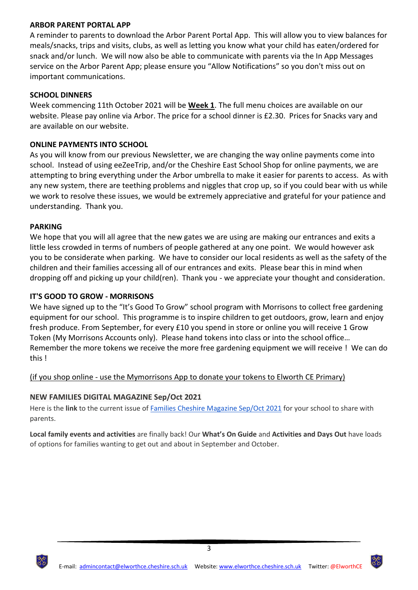# **ARBOR PARENT PORTAL APP**

A reminder to parents to download the Arbor Parent Portal App. This will allow you to view balances for meals/snacks, trips and visits, clubs, as well as letting you know what your child has eaten/ordered for snack and/or lunch. We will now also be able to communicate with parents via the In App Messages service on the Arbor Parent App; please ensure you "Allow Notifications" so you don't miss out on important communications.

# **SCHOOL DINNERS**

Week commencing 11th October 2021 will be **Week 1**. The full menu choices are available on our website. Please pay online via Arbor. The price for a school dinner is £2.30. Prices for Snacks vary and are available on our website.

# **ONLINE PAYMENTS INTO SCHOOL**

As you will know from our previous Newsletter, we are changing the way online payments come into school. Instead of using eeZeeTrip, and/or the Cheshire East School Shop for online payments, we are attempting to bring everything under the Arbor umbrella to make it easier for parents to access. As with any new system, there are teething problems and niggles that crop up, so if you could bear with us while we work to resolve these issues, we would be extremely appreciative and grateful for your patience and understanding. Thank you.

# **PARKING**

We hope that you will all agree that the new gates we are using are making our entrances and exits a little less crowded in terms of numbers of people gathered at any one point. We would however ask you to be considerate when parking. We have to consider our local residents as well as the safety of the children and their families accessing all of our entrances and exits. Please bear this in mind when dropping off and picking up your child(ren). Thank you - we appreciate your thought and consideration.

### **IT'S GOOD TO GROW - MORRISONS**

We have signed up to the "It's Good To Grow" school program with Morrisons to collect free gardening equipment for our school. This programme is to inspire children to get outdoors, grow, learn and enjoy fresh produce. From September, for every £10 you spend in store or online you will receive 1 Grow Token (My Morrisons Accounts only). Please hand tokens into class or into the school office… Remember the more tokens we receive the more free gardening equipment we will receive ! We can do this !

(if you shop online - use the Mymorrisons App to donate your tokens to Elworth CE Primary)

# **NEW FAMILIES DIGITAL MAGAZINE Sep/Oct 2021**

Here is the **link** to the current issue of [Families Cheshire Magazine Sep/Oct 2021](https://issuu.com/familiesonline/docs/cheshire_9cccde743363c5?fr=sOGE1ODQyNTU3MTE) for your school to share with parents.

**Local family events and activities** are finally back! Our **What's On Guide** and **Activities and Days Out** have loads of options for families wanting to get out and about in September and October.

3

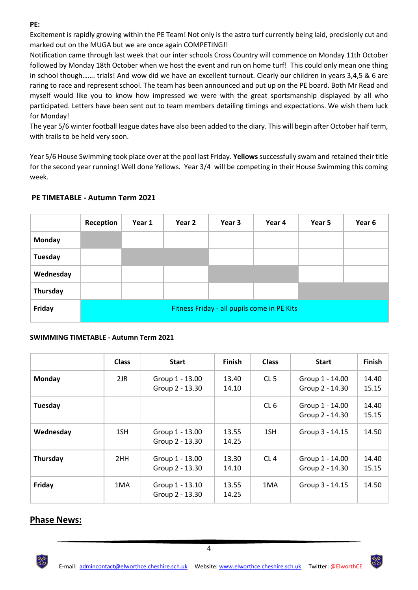# **PE:**

Excitement is rapidly growing within the PE Team! Not only is the astro turf currently being laid, precisionly cut and marked out on the MUGA but we are once again COMPETING!!

Notification came through last week that our inter schools Cross Country will commence on Monday 11th October followed by Monday 18th October when we host the event and run on home turf! This could only mean one thing in school though……. trials! And wow did we have an excellent turnout. Clearly our children in years 3,4,5 & 6 are raring to race and represent school. The team has been announced and put up on the PE board. Both Mr Read and myself would like you to know how impressed we were with the great sportsmanship displayed by all who participated. Letters have been sent out to team members detailing timings and expectations. We wish them luck for Monday!

The year 5/6 winter football league dates have also been added to the diary. This will begin after October half term, with trails to be held very soon.

Year 5/6 House Swimming took place over at the pool last Friday. **Yellows** successfully swam and retained their title for the second year running! Well done Yellows. Year 3/4 will be competing in their House Swimming this coming week.

|               | Reception                                   | Year 1 | Year 2 | Year 3 | Year 4 | Year 5 | Year 6 |
|---------------|---------------------------------------------|--------|--------|--------|--------|--------|--------|
| <b>Monday</b> |                                             |        |        |        |        |        |        |
| Tuesday       |                                             |        |        |        |        |        |        |
| Wednesday     |                                             |        |        |        |        |        |        |
| Thursday      |                                             |        |        |        |        |        |        |
| Friday        | Fitness Friday - all pupils come in PE Kits |        |        |        |        |        |        |

# **PE TIMETABLE - Autumn Term 2021**

#### **SWIMMING TIMETABLE - Autumn Term 2021**

|           | <b>Class</b> | <b>Start</b>                       | <b>Finish</b>  | <b>Class</b>    | <b>Start</b>                       | Finish         |
|-----------|--------------|------------------------------------|----------------|-----------------|------------------------------------|----------------|
| Monday    | $2$ JR       | Group 1 - 13.00<br>Group 2 - 13.30 | 13.40<br>14.10 | CL <sub>5</sub> | Group 1 - 14.00<br>Group 2 - 14.30 | 14.40<br>15.15 |
| Tuesday   |              |                                    |                | CL6             | Group 1 - 14.00<br>Group 2 - 14.30 | 14.40<br>15.15 |
| Wednesday | 1SH          | Group 1 - 13.00<br>Group 2 - 13.30 | 13.55<br>14.25 | 1SH             | Group 3 - 14.15                    | 14.50          |
| Thursday  | 2HH          | Group 1 - 13.00<br>Group 2 - 13.30 | 13.30<br>14.10 | CL4             | Group 1 - 14.00<br>Group 2 - 14.30 | 14.40<br>15.15 |
| Friday    | 1MA          | Group 1 - 13.10<br>Group 2 - 13.30 | 13.55<br>14.25 | 1MA             | Group 3 - 14.15                    | 14.50          |

# **Phase News:**